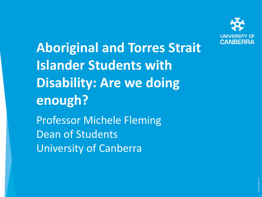

**Aboriginal and Torres Strait Islander Students with Disability: Are we doing enough?**

Professor Michele Fleming Dean of Students University of Canberra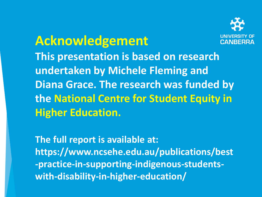

## **Acknowledgement This presentation is based on research undertaken by Michele Fleming and Diana Grace. The research was funded by the National Centre for Student Equity in Higher Education.**

**The full report is available at: https://www.ncsehe.edu.au/publications/best -practice-in-supporting-indigenous-studentswith-disability-in-higher-education/**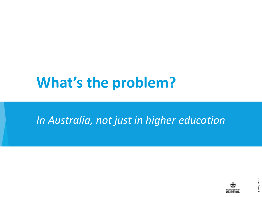# **What's the problem?**

#### *In Australia, not just in higher education*

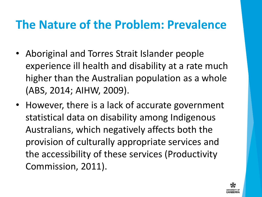### **The Nature of the Problem: Prevalence**

- Aboriginal and Torres Strait Islander people experience ill health and disability at a rate much higher than the Australian population as a whole (ABS, 2014; AIHW, 2009).
- However, there is a lack of accurate government statistical data on disability among Indigenous Australians, which negatively affects both the provision of culturally appropriate services and the accessibility of these services (Productivity Commission, 2011).

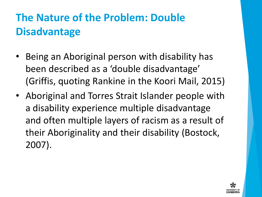## **The Nature of the Problem: Double Disadvantage**

- Being an Aboriginal person with disability has been described as a 'double disadvantage' (Griffis, quoting Rankine in the Koori Mail, 2015)
- Aboriginal and Torres Strait Islander people with a disability experience multiple disadvantage and often multiple layers of racism as a result of their Aboriginality and their disability (Bostock, 2007).

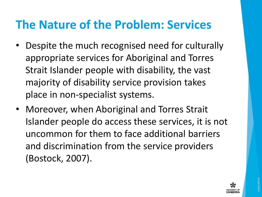## **The Nature of the Problem: Services**

- Despite the much recognised need for culturally appropriate services for Aboriginal and Torres Strait Islander people with disability, the vast majority of disability service provision takes place in non-specialist systems.
- Moreover, when Aboriginal and Torres Strait Islander people do access these services, it is not uncommon for them to face additional barriers and discrimination from the service providers (Bostock, 2007).

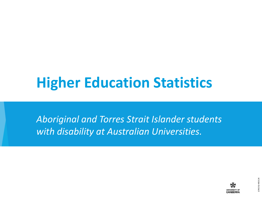# **Higher Education Statistics**

*Aboriginal and Torres Strait Islander students with disability at Australian Universities.*

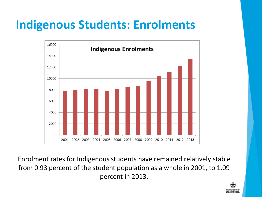## **Indigenous Students: Enrolments**



Enrolment rates for Indigenous students have remained relatively stable from 0.93 percent of the student population as a whole in 2001, to 1.09 percent in 2013.

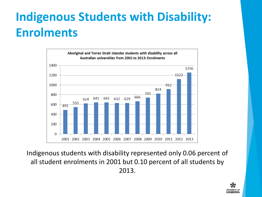## **Indigenous Students with Disability: Enrolments**



Indigenous students with disability represented only 0.06 percent of all student enrolments in 2001 but 0.10 percent of all students by 2013.

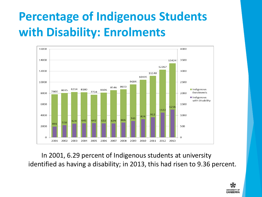## **Percentage of Indigenous Students with Disability: Enrolments**



In 2001, 6.29 percent of Indigenous students at university identified as having a disability; in 2013, this had risen to 9.36 percent.

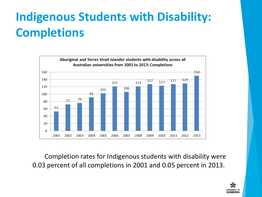## **Indigenous Students with Disability: Completions**



Completion rates for Indigenous students with disability were 0.03 percent of all completions in 2001 and 0.05 percent in 2013.

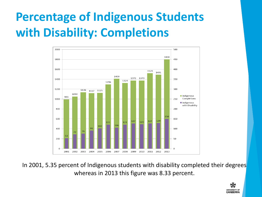## **Percentage of Indigenous Students with Disability: Completions**



In 2001, 5.35 percent of Indigenous students with disability completed their degrees whereas in 2013 this figure was 8.33 percent.

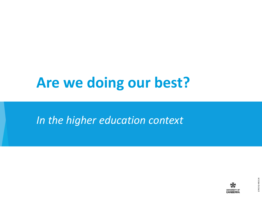# **Are we doing our best?**

#### *In the higher education context*

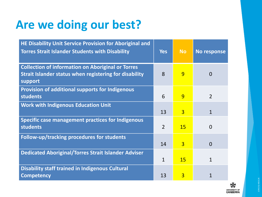## **Are we doing our best?**

| HE Disability Unit Service Provision for Aboriginal and<br><b>Torres Strait Islander Students with Disability</b>             | <b>Yes</b>     | <b>No</b>      | <b>No response</b> |
|-------------------------------------------------------------------------------------------------------------------------------|----------------|----------------|--------------------|
| <b>Collection of information on Aboriginal or Torres</b><br>Strait Islander status when registering for disability<br>support | 8              | 9              | $\overline{0}$     |
| Provision of additional supports for Indigenous<br><b>students</b>                                                            | 6              | 9              | $\overline{2}$     |
| <b>Work with Indigenous Education Unit</b>                                                                                    | 13             | $\overline{3}$ | $\mathbf{1}$       |
| Specific case management practices for Indigenous<br><b>students</b>                                                          | $\overline{2}$ | <b>15</b>      | $\overline{0}$     |
| Follow-up/tracking procedures for students                                                                                    | 14             | $\overline{3}$ | $\overline{0}$     |
| <b>Dedicated Aboriginal/Torres Strait Islander Adviser</b>                                                                    | $\mathbf{1}$   | <b>15</b>      | $\mathbf{1}$       |
| <b>Disability staff trained in Indigenous Cultural</b><br><b>Competency</b>                                                   | 13             | 3              | 1                  |

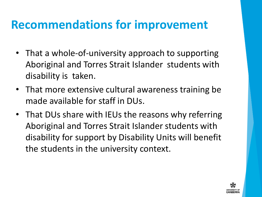### **Recommendations for improvement**

- That a whole-of-university approach to supporting Aboriginal and Torres Strait Islander students with disability is taken.
- That more extensive cultural awareness training be made available for staff in DUs.
- That DUs share with IEUs the reasons why referring Aboriginal and Torres Strait Islander students with disability for support by Disability Units will benefit the students in the university context.

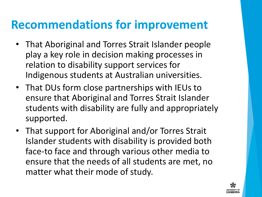#### **Recommendations for improvement**

- That Aboriginal and Torres Strait Islander people play a key role in decision making processes in relation to disability support services for Indigenous students at Australian universities.
- That DUs form close partnerships with IEUs to ensure that Aboriginal and Torres Strait Islander students with disability are fully and appropriately supported.
- That support for Aboriginal and/or Torres Strait Islander students with disability is provided both face-to face and through various other media to ensure that the needs of all students are met, no matter what their mode of study.